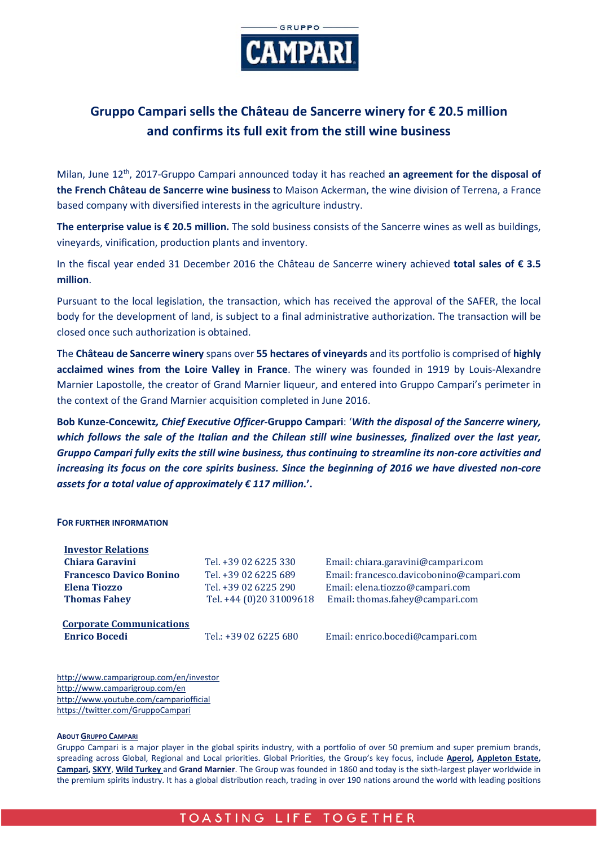

## **Gruppo Campari sells the Château de Sancerre winery for € 20.5 million and confirms its full exit from the still wine business**

Milan, June 12th, 2017-Gruppo Campari announced today it has reached **an agreement for the disposal of the French Château de Sancerre wine business** to Maison Ackerman, the wine division of Terrena, a France based company with diversified interests in the agriculture industry.

**The enterprise value is € 20.5 million.** The sold business consists of the Sancerre wines as well as buildings, vineyards, vinification, production plants and inventory.

In the fiscal year ended 31 December 2016 the Château de Sancerre winery achieved **total sales of € 3.5 million**.

Pursuant to the local legislation, the transaction, which has received the approval of the SAFER, the local body for the development of land, is subject to a final administrative authorization. The transaction will be closed once such authorization is obtained.

The **Château de Sancerre winery** spans over **55 hectares of vineyards** and its portfolio is comprised of **highly acclaimed wines from the Loire Valley in France**. The winery was founded in 1919 by Louis-Alexandre Marnier Lapostolle, the creator of Grand Marnier liqueur, and entered into Gruppo Campari's perimeter in the context of the Grand Marnier acquisition completed in June 2016.

**Bob Kunze-Concewitz***, Chief Executive Officer***-Gruppo Campari**: '*With the disposal of the Sancerre winery, which follows the sale of the Italian and the Chilean still wine businesses, finalized over the last year, Gruppo Campari fully exits the still wine business, thus continuing to streamline its non-core activities and increasing its focus on the core spirits business. Since the beginning of 2016 we have divested non-core assets for a total value of approximately € 117 million.***'.**

## **FOR FURTHER INFORMATION**

| <b>Investor Relations</b>                               |                         |                                           |
|---------------------------------------------------------|-------------------------|-------------------------------------------|
| Chiara Garavini                                         | Tel. +39 02 6225 330    | Email: chiara.garavini@campari.com        |
| <b>Francesco Davico Bonino</b>                          | Tel. +39 02 6225 689    | Email: francesco.davicobonino@campari.com |
| Elena Tiozzo                                            | Tel. +39 02 6225 290    | Email: elena.tiozzo@campari.com           |
| <b>Thomas Fahey</b>                                     | Tel. +44 (0)20 31009618 | Email: thomas.fahey@campari.com           |
| <b>Corporate Communications</b><br><b>Enrico Bocedi</b> | Tel.: +39 02 6225 680   | Email: enrico.bocedi@campari.com          |

http://www.camparigroup.com/en/investor http://www.camparigroup.com/en http://www.youtube.com/campariofficial <https://twitter.com/GruppoCampari>

## **ABOU[T GRUPPO CAMPARI](http://www.camparigroup.com/en/index.shtml)**

Gruppo Campari is a major player in the global spirits industry, with a portfolio of over 50 premium and super premium brands, spreading across Global, Regional and Local priorities. Global Priorities, the Group's key focus, include **[Aperol,](http://www.aperol.com/?http%3A//www.aperol.com/) [Appleton Estate,](http://www.appletonestate.com/) [Campari,](http://www.campari.com/) [SKYY](http://www.skyy.com/)**, **[Wild Turkey](http://www.wildturkeybourbon.com.au/)** and **Grand Marnier**. The Group was founded in 1860 and today is the sixth-largest player worldwide in the premium spirits industry. It has a global distribution reach, trading in over 190 nations around the world with leading positions

## TOASTING LIFE TOGETHER